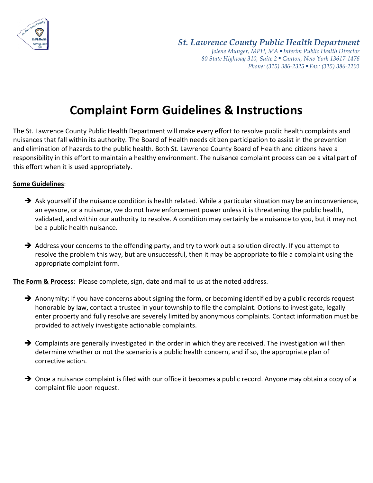

*St. Lawrence County Public Health Department Jolene Munger, MPH, MA ■ Interim Public Health Director 80 State Highway 310, Suite 2 ■ Canton, New York 13617-1476 Phone: (315) 386-2325* ■ *Fax: (315) 386-2203*

## **Complaint Form Guidelines & Instructions**

The St. Lawrence County Public Health Department will make every effort to resolve public health complaints and nuisances that fall within its authority. The Board of Health needs citizen participation to assist in the prevention and elimination of hazards to the public health. Both St. Lawrence County Board of Health and citizens have a responsibility in this effort to maintain a healthy environment. The nuisance complaint process can be a vital part of this effort when it is used appropriately.

## **Some Guidelines**:

- $\rightarrow$  Ask yourself if the nuisance condition is health related. While a particular situation may be an inconvenience, an eyesore, or a nuisance, we do not have enforcement power unless it is threatening the public health, validated, and within our authority to resolve. A condition may certainly be a nuisance to you, but it may not be a public health nuisance.
- $\rightarrow$  Address your concerns to the offending party, and try to work out a solution directly. If you attempt to resolve the problem this way, but are unsuccessful, then it may be appropriate to file a complaint using the appropriate complaint form.

**The Form & Process**: Please complete, sign, date and mail to us at the noted address.

- $\rightarrow$  Anonymity: If you have concerns about signing the form, or becoming identified by a public records request honorable by law, contact a trustee in your township to file the complaint. Options to investigate, legally enter property and fully resolve are severely limited by anonymous complaints. Contact information must be provided to actively investigate actionable complaints.
- $\rightarrow$  Complaints are generally investigated in the order in which they are received. The investigation will then determine whether or not the scenario is a public health concern, and if so, the appropriate plan of corrective action.
- → Once a nuisance complaint is filed with our office it becomes a public record. Anyone may obtain a copy of a complaint file upon request.